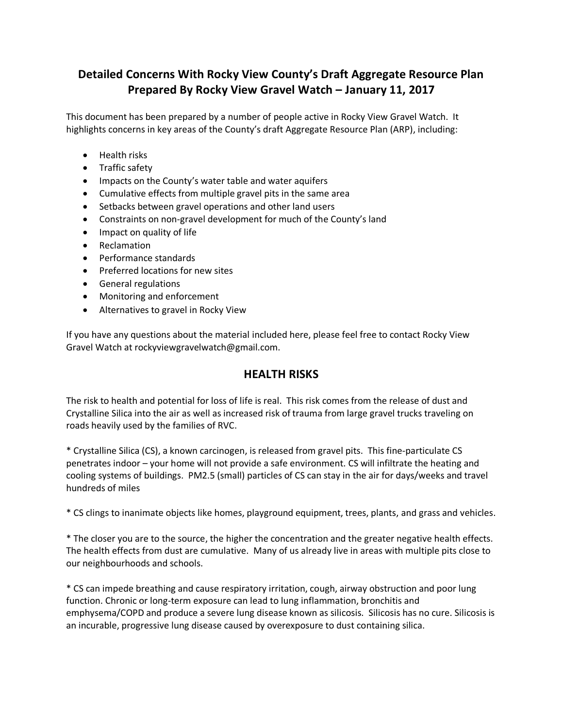# **Detailed Concerns With Rocky View County's Draft Aggregate Resource Plan Prepared By Rocky View Gravel Watch – January 11, 2017**

This document has been prepared by a number of people active in Rocky View Gravel Watch. It highlights concerns in key areas of the County's draft Aggregate Resource Plan (ARP), including:

- Health risks
- Traffic safety
- Impacts on the County's water table and water aquifers
- Cumulative effects from multiple gravel pits in the same area
- Setbacks between gravel operations and other land users
- Constraints on non-gravel development for much of the County's land
- Impact on quality of life
- Reclamation
- Performance standards
- Preferred locations for new sites
- General regulations
- Monitoring and enforcement
- Alternatives to gravel in Rocky View

If you have any questions about the material included here, please feel free to contact Rocky View Gravel Watch at rockyviewgravelwatch@gmail.com.

### **HEALTH RISKS**

The risk to health and potential for loss of life is real. This risk comes from the release of dust and Crystalline Silica into the air as well as increased risk of trauma from large gravel trucks traveling on roads heavily used by the families of RVC.

\* Crystalline Silica (CS), a known carcinogen, is released from gravel pits. This fine-particulate CS penetrates indoor – your home will not provide a safe environment. CS will infiltrate the heating and cooling systems of buildings. PM2.5 (small) particles of CS can stay in the air for days/weeks and travel hundreds of miles

\* CS clings to inanimate objects like homes, playground equipment, trees, plants, and grass and vehicles.

\* The closer you are to the source, the higher the concentration and the greater negative health effects. The health effects from dust are cumulative. Many of us already live in areas with multiple pits close to our neighbourhoods and schools.

\* CS can impede breathing and cause respiratory irritation, cough, airway obstruction and poor lung function. Chronic or long-term exposure can lead to lung inflammation, bronchitis and emphysema/COPD and produce a severe lung disease known as silicosis. Silicosis has no cure. Silicosis is an incurable, progressive lung disease caused by overexposure to dust containing silica.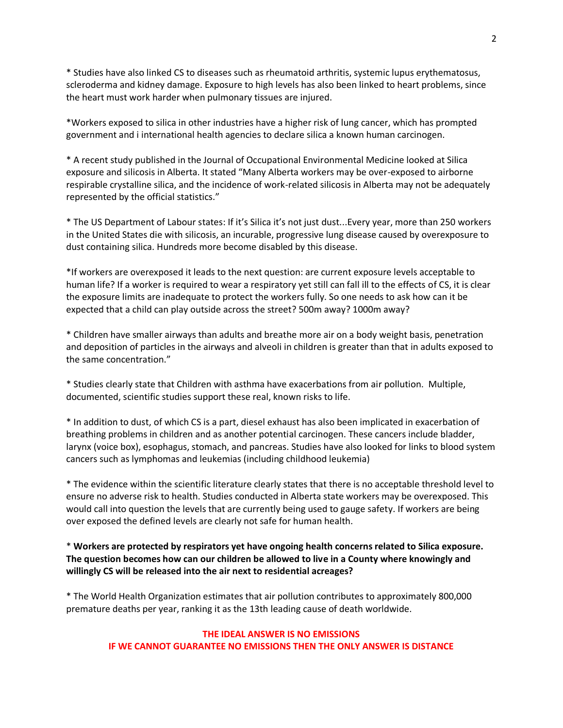\* Studies have also linked CS to diseases such as rheumatoid arthritis, systemic lupus erythematosus, scleroderma and kidney damage. Exposure to high levels has also been linked to heart problems, since the heart must work harder when pulmonary tissues are injured.

\*Workers exposed to silica in other industries have a higher risk of lung cancer, which has prompted government and i international health agencies to declare silica a known human carcinogen.

\* A recent study published in the Journal of Occupational Environmental Medicine looked at Silica exposure and silicosis in Alberta. It stated "Many Alberta workers may be over-exposed to airborne respirable crystalline silica, and the incidence of work-related silicosis in Alberta may not be adequately represented by the official statistics."

\* The US Department of Labour states: If it's Silica it's not just dust...Every year, more than 250 workers in the United States die with silicosis, an incurable, progressive lung disease caused by overexposure to dust containing silica. Hundreds more become disabled by this disease.

\*If workers are overexposed it leads to the next question: are current exposure levels acceptable to human life? If a worker is required to wear a respiratory yet still can fall ill to the effects of CS, it is clear the exposure limits are inadequate to protect the workers fully. So one needs to ask how can it be expected that a child can play outside across the street? 500m away? 1000m away?

\* Children have smaller airways than adults and breathe more air on a body weight basis, penetration and deposition of particles in the airways and alveoli in children is greater than that in adults exposed to the same concentration."

\* Studies clearly state that Children with asthma have exacerbations from air pollution. Multiple, documented, scientific studies support these real, known risks to life.

\* In addition to dust, of which CS is a part, diesel exhaust has also been implicated in exacerbation of breathing problems in children and as another potential carcinogen. These cancers include bladder, larynx (voice box), esophagus, stomach, and pancreas. Studies have also looked for links to blood system cancers such as lymphomas and leukemias (including childhood leukemia)

\* The evidence within the scientific literature clearly states that there is no acceptable threshold level to ensure no adverse risk to health. Studies conducted in Alberta state workers may be overexposed. This would call into question the levels that are currently being used to gauge safety. If workers are being over exposed the defined levels are clearly not safe for human health.

#### \* **Workers are protected by respirators yet have ongoing health concerns related to Silica exposure. The question becomes how can our children be allowed to live in a County where knowingly and willingly CS will be released into the air next to residential acreages?**

\* The World Health Organization estimates that air pollution contributes to approximately 800,000 premature deaths per year, ranking it as the 13th leading cause of death worldwide.

#### **THE IDEAL ANSWER IS NO EMISSIONS IF WE CANNOT GUARANTEE NO EMISSIONS THEN THE ONLY ANSWER IS DISTANCE**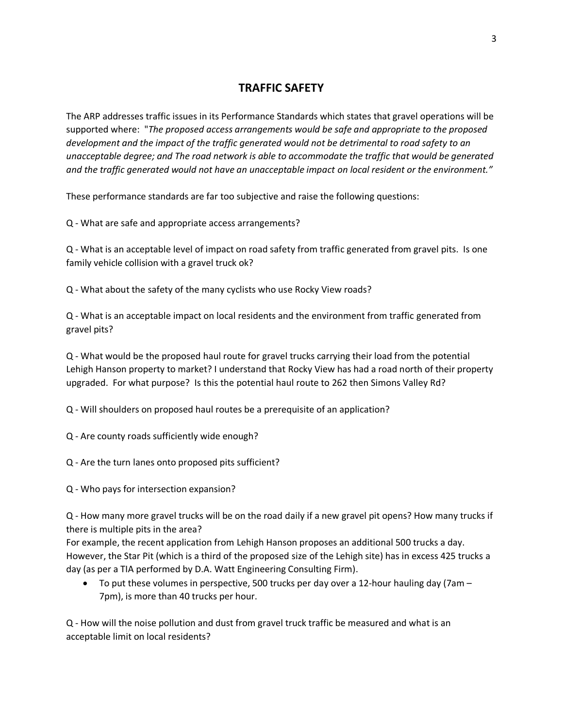### **TRAFFIC SAFETY**

The ARP addresses traffic issues in its Performance Standards which states that gravel operations will be supported where: "*The proposed access arrangements would be safe and appropriate to the proposed development and the impact of the traffic generated would not be detrimental to road safety to an unacceptable degree; and The road network is able to accommodate the traffic that would be generated and the traffic generated would not have an unacceptable impact on local resident or the environment."*

These performance standards are far too subjective and raise the following questions:

Q - What are safe and appropriate access arrangements?

Q - What is an acceptable level of impact on road safety from traffic generated from gravel pits. Is one family vehicle collision with a gravel truck ok?

Q - What about the safety of the many cyclists who use Rocky View roads?

Q - What is an acceptable impact on local residents and the environment from traffic generated from gravel pits?

Q - What would be the proposed haul route for gravel trucks carrying their load from the potential Lehigh Hanson property to market? I understand that Rocky View has had a road north of their property upgraded. For what purpose? Is this the potential haul route to 262 then Simons Valley Rd?

Q - Will shoulders on proposed haul routes be a prerequisite of an application?

Q - Are county roads sufficiently wide enough?

Q - Are the turn lanes onto proposed pits sufficient?

Q - Who pays for intersection expansion?

Q - How many more gravel trucks will be on the road daily if a new gravel pit opens? How many trucks if there is multiple pits in the area?

For example, the recent application from Lehigh Hanson proposes an additional 500 trucks a day. However, the Star Pit (which is a third of the proposed size of the Lehigh site) has in excess 425 trucks a day (as per a TIA performed by D.A. Watt Engineering Consulting Firm).

• To put these volumes in perspective, 500 trucks per day over a 12-hour hauling day (7am  $-$ 7pm), is more than 40 trucks per hour.

Q - How will the noise pollution and dust from gravel truck traffic be measured and what is an acceptable limit on local residents?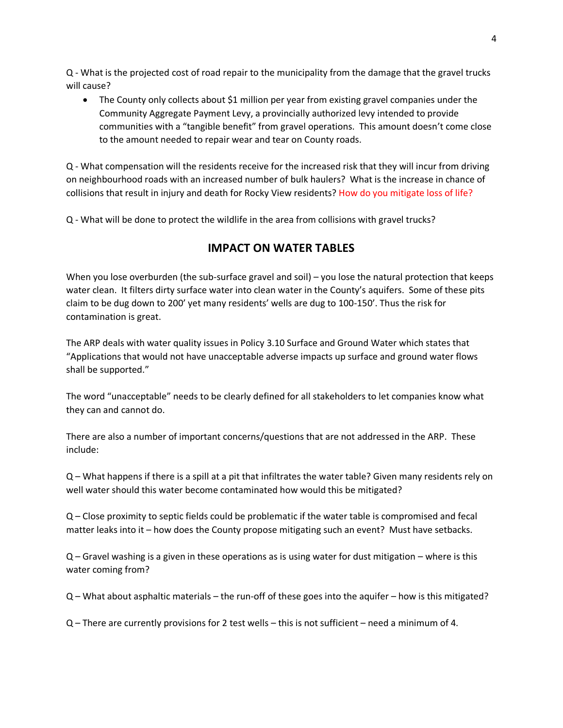Q - What is the projected cost of road repair to the municipality from the damage that the gravel trucks will cause?

• The County only collects about \$1 million per year from existing gravel companies under the Community Aggregate Payment Levy, a provincially authorized levy intended to provide communities with a "tangible benefit" from gravel operations. This amount doesn't come close to the amount needed to repair wear and tear on County roads.

Q - What compensation will the residents receive for the increased risk that they will incur from driving on neighbourhood roads with an increased number of bulk haulers? What is the increase in chance of collisions that result in injury and death for Rocky View residents? How do you mitigate loss of life?

Q - What will be done to protect the wildlife in the area from collisions with gravel trucks?

# **IMPACT ON WATER TABLES**

When you lose overburden (the sub-surface gravel and soil) – you lose the natural protection that keeps water clean. It filters dirty surface water into clean water in the County's aquifers. Some of these pits claim to be dug down to 200' yet many residents' wells are dug to 100-150'. Thus the risk for contamination is great.

The ARP deals with water quality issues in Policy 3.10 Surface and Ground Water which states that "Applications that would not have unacceptable adverse impacts up surface and ground water flows shall be supported."

The word "unacceptable" needs to be clearly defined for all stakeholders to let companies know what they can and cannot do.

There are also a number of important concerns/questions that are not addressed in the ARP. These include:

Q – What happens if there is a spill at a pit that infiltrates the water table? Given many residents rely on well water should this water become contaminated how would this be mitigated?

Q – Close proximity to septic fields could be problematic if the water table is compromised and fecal matter leaks into it – how does the County propose mitigating such an event? Must have setbacks.

Q – Gravel washing is a given in these operations as is using water for dust mitigation – where is this water coming from?

Q – What about asphaltic materials – the run-off of these goes into the aquifer – how is this mitigated?

Q – There are currently provisions for 2 test wells – this is not sufficient – need a minimum of 4.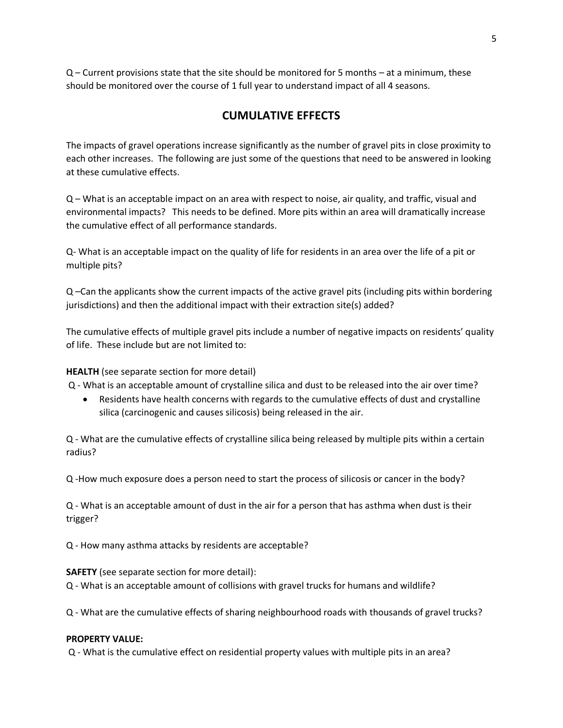Q – Current provisions state that the site should be monitored for 5 months – at a minimum, these should be monitored over the course of 1 full year to understand impact of all 4 seasons.

### **CUMULATIVE EFFECTS**

The impacts of gravel operations increase significantly as the number of gravel pits in close proximity to each other increases. The following are just some of the questions that need to be answered in looking at these cumulative effects.

Q – What is an acceptable impact on an area with respect to noise, air quality, and traffic, visual and environmental impacts? This needs to be defined. More pits within an area will dramatically increase the cumulative effect of all performance standards.

Q- What is an acceptable impact on the quality of life for residents in an area over the life of a pit or multiple pits?

Q –Can the applicants show the current impacts of the active gravel pits (including pits within bordering jurisdictions) and then the additional impact with their extraction site(s) added?

The cumulative effects of multiple gravel pits include a number of negative impacts on residents' quality of life. These include but are not limited to:

**HEALTH** (see separate section for more detail)

Q - What is an acceptable amount of crystalline silica and dust to be released into the air over time?

• Residents have health concerns with regards to the cumulative effects of dust and crystalline silica (carcinogenic and causes silicosis) being released in the air.

Q - What are the cumulative effects of crystalline silica being released by multiple pits within a certain radius?

Q -How much exposure does a person need to start the process of silicosis or cancer in the body?

Q - What is an acceptable amount of dust in the air for a person that has asthma when dust is their trigger?

Q - How many asthma attacks by residents are acceptable?

**SAFETY** (see separate section for more detail): Q - What is an acceptable amount of collisions with gravel trucks for humans and wildlife?

Q - What are the cumulative effects of sharing neighbourhood roads with thousands of gravel trucks?

#### **PROPERTY VALUE:**

Q - What is the cumulative effect on residential property values with multiple pits in an area?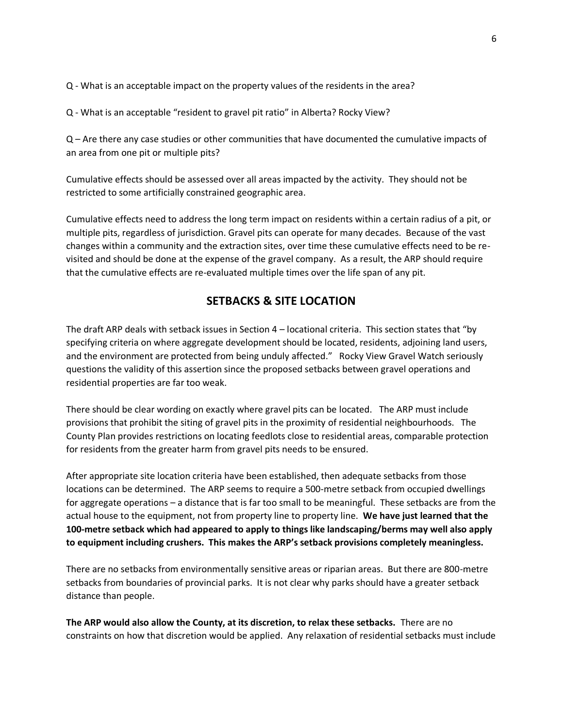Q - What is an acceptable impact on the property values of the residents in the area?

Q - What is an acceptable "resident to gravel pit ratio" in Alberta? Rocky View?

Q – Are there any case studies or other communities that have documented the cumulative impacts of an area from one pit or multiple pits?

Cumulative effects should be assessed over all areas impacted by the activity. They should not be restricted to some artificially constrained geographic area.

Cumulative effects need to address the long term impact on residents within a certain radius of a pit, or multiple pits, regardless of jurisdiction. Gravel pits can operate for many decades. Because of the vast changes within a community and the extraction sites, over time these cumulative effects need to be revisited and should be done at the expense of the gravel company. As a result, the ARP should require that the cumulative effects are re-evaluated multiple times over the life span of any pit.

### **SETBACKS & SITE LOCATION**

The draft ARP deals with setback issues in Section 4 – locational criteria. This section states that "by specifying criteria on where aggregate development should be located, residents, adjoining land users, and the environment are protected from being unduly affected." Rocky View Gravel Watch seriously questions the validity of this assertion since the proposed setbacks between gravel operations and residential properties are far too weak.

There should be clear wording on exactly where gravel pits can be located. The ARP must include provisions that prohibit the siting of gravel pits in the proximity of residential neighbourhoods. The County Plan provides restrictions on locating feedlots close to residential areas, comparable protection for residents from the greater harm from gravel pits needs to be ensured.

After appropriate site location criteria have been established, then adequate setbacks from those locations can be determined. The ARP seems to require a 500-metre setback from occupied dwellings for aggregate operations – a distance that is far too small to be meaningful. These setbacks are from the actual house to the equipment, not from property line to property line. **We have just learned that the 100-metre setback which had appeared to apply to things like landscaping/berms may well also apply to equipment including crushers. This makes the ARP's setback provisions completely meaningless.**

There are no setbacks from environmentally sensitive areas or riparian areas. But there are 800-metre setbacks from boundaries of provincial parks. It is not clear why parks should have a greater setback distance than people.

**The ARP would also allow the County, at its discretion, to relax these setbacks.** There are no constraints on how that discretion would be applied. Any relaxation of residential setbacks must include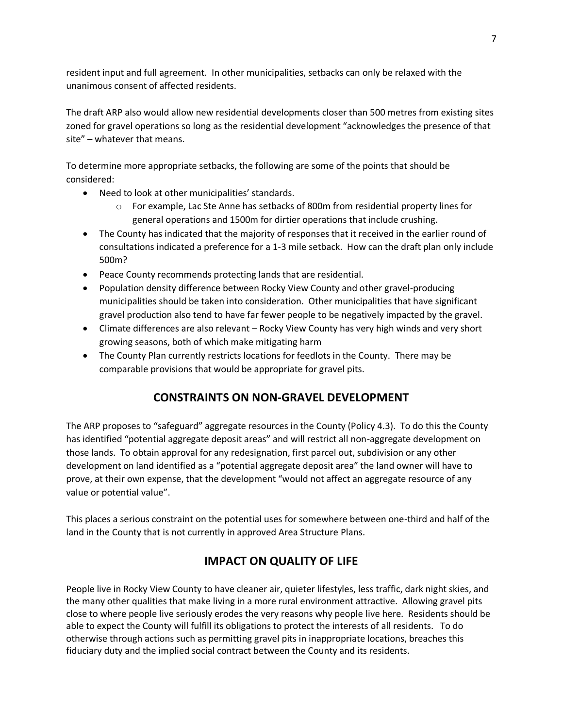resident input and full agreement. In other municipalities, setbacks can only be relaxed with the unanimous consent of affected residents.

The draft ARP also would allow new residential developments closer than 500 metres from existing sites zoned for gravel operations so long as the residential development "acknowledges the presence of that site" – whatever that means.

To determine more appropriate setbacks, the following are some of the points that should be considered:

- Need to look at other municipalities' standards.
	- o For example, Lac Ste Anne has setbacks of 800m from residential property lines for general operations and 1500m for dirtier operations that include crushing.
- The County has indicated that the majority of responses that it received in the earlier round of consultations indicated a preference for a 1-3 mile setback. How can the draft plan only include 500m?
- Peace County recommends protecting lands that are residential.
- Population density difference between Rocky View County and other gravel-producing municipalities should be taken into consideration. Other municipalities that have significant gravel production also tend to have far fewer people to be negatively impacted by the gravel.
- Climate differences are also relevant Rocky View County has very high winds and very short growing seasons, both of which make mitigating harm
- The County Plan currently restricts locations for feedlots in the County. There may be comparable provisions that would be appropriate for gravel pits.

### **CONSTRAINTS ON NON-GRAVEL DEVELOPMENT**

The ARP proposes to "safeguard" aggregate resources in the County (Policy 4.3). To do this the County has identified "potential aggregate deposit areas" and will restrict all non-aggregate development on those lands. To obtain approval for any redesignation, first parcel out, subdivision or any other development on land identified as a "potential aggregate deposit area" the land owner will have to prove, at their own expense, that the development "would not affect an aggregate resource of any value or potential value".

This places a serious constraint on the potential uses for somewhere between one-third and half of the land in the County that is not currently in approved Area Structure Plans.

# **IMPACT ON QUALITY OF LIFE**

People live in Rocky View County to have cleaner air, quieter lifestyles, less traffic, dark night skies, and the many other qualities that make living in a more rural environment attractive. Allowing gravel pits close to where people live seriously erodes the very reasons why people live here. Residents should be able to expect the County will fulfill its obligations to protect the interests of all residents. To do otherwise through actions such as permitting gravel pits in inappropriate locations, breaches this fiduciary duty and the implied social contract between the County and its residents.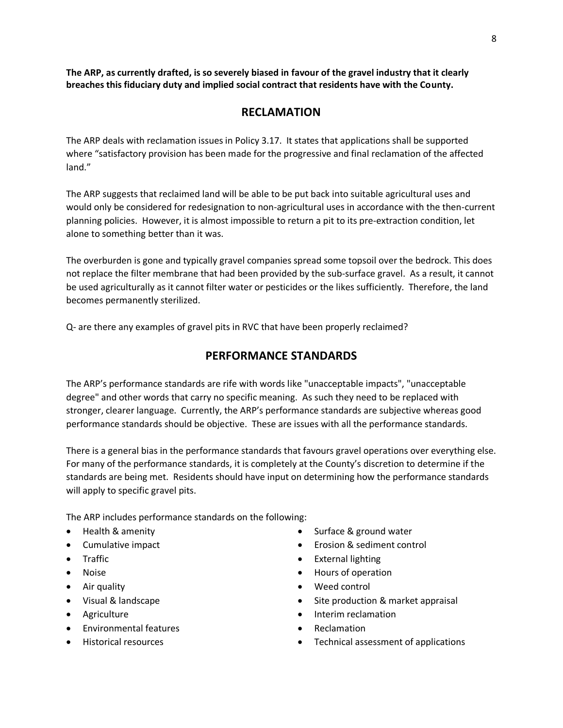**The ARP, as currently drafted, is so severely biased in favour of the gravel industry that it clearly breaches this fiduciary duty and implied social contract that residents have with the County.** 

### **RECLAMATION**

The ARP deals with reclamation issues in Policy 3.17. It states that applications shall be supported where "satisfactory provision has been made for the progressive and final reclamation of the affected land."

The ARP suggests that reclaimed land will be able to be put back into suitable agricultural uses and would only be considered for redesignation to non-agricultural uses in accordance with the then-current planning policies. However, it is almost impossible to return a pit to its pre-extraction condition, let alone to something better than it was.

The overburden is gone and typically gravel companies spread some topsoil over the bedrock. This does not replace the filter membrane that had been provided by the sub-surface gravel. As a result, it cannot be used agriculturally as it cannot filter water or pesticides or the likes sufficiently. Therefore, the land becomes permanently sterilized.

Q- are there any examples of gravel pits in RVC that have been properly reclaimed?

### **PERFORMANCE STANDARDS**

The ARP's performance standards are rife with words like "unacceptable impacts", "unacceptable degree" and other words that carry no specific meaning. As such they need to be replaced with stronger, clearer language. Currently, the ARP's performance standards are subjective whereas good performance standards should be objective. These are issues with all the performance standards.

There is a general bias in the performance standards that favours gravel operations over everything else. For many of the performance standards, it is completely at the County's discretion to determine if the standards are being met. Residents should have input on determining how the performance standards will apply to specific gravel pits.

The ARP includes performance standards on the following:

- Health & amenity
- Cumulative impact
- Traffic
- Noise
- Air quality
- Visual & landscape
- Agriculture
- Environmental features
- Historical resources
- Surface & ground water
- Erosion & sediment control
- External lighting
- Hours of operation
- Weed control
- Site production & market appraisal
- Interim reclamation
- Reclamation
- Technical assessment of applications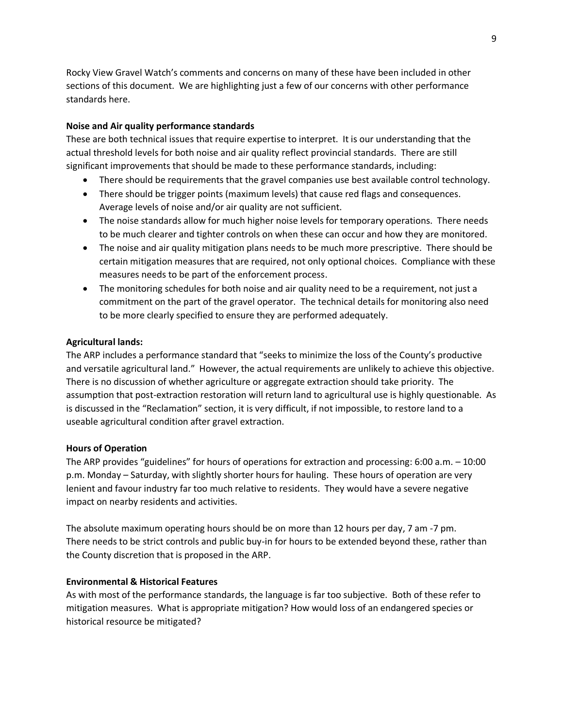Rocky View Gravel Watch's comments and concerns on many of these have been included in other sections of this document. We are highlighting just a few of our concerns with other performance standards here.

#### **Noise and Air quality performance standards**

These are both technical issues that require expertise to interpret. It is our understanding that the actual threshold levels for both noise and air quality reflect provincial standards. There are still significant improvements that should be made to these performance standards, including:

- There should be requirements that the gravel companies use best available control technology.
- There should be trigger points (maximum levels) that cause red flags and consequences. Average levels of noise and/or air quality are not sufficient.
- The noise standards allow for much higher noise levels for temporary operations. There needs to be much clearer and tighter controls on when these can occur and how they are monitored.
- The noise and air quality mitigation plans needs to be much more prescriptive. There should be certain mitigation measures that are required, not only optional choices. Compliance with these measures needs to be part of the enforcement process.
- The monitoring schedules for both noise and air quality need to be a requirement, not just a commitment on the part of the gravel operator. The technical details for monitoring also need to be more clearly specified to ensure they are performed adequately.

#### **Agricultural lands:**

The ARP includes a performance standard that "seeks to minimize the loss of the County's productive and versatile agricultural land." However, the actual requirements are unlikely to achieve this objective. There is no discussion of whether agriculture or aggregate extraction should take priority. The assumption that post-extraction restoration will return land to agricultural use is highly questionable. As is discussed in the "Reclamation" section, it is very difficult, if not impossible, to restore land to a useable agricultural condition after gravel extraction.

#### **Hours of Operation**

The ARP provides "guidelines" for hours of operations for extraction and processing: 6:00 a.m. – 10:00 p.m. Monday – Saturday, with slightly shorter hours for hauling. These hours of operation are very lenient and favour industry far too much relative to residents. They would have a severe negative impact on nearby residents and activities.

The absolute maximum operating hours should be on more than 12 hours per day, 7 am -7 pm. There needs to be strict controls and public buy-in for hours to be extended beyond these, rather than the County discretion that is proposed in the ARP.

#### **Environmental & Historical Features**

As with most of the performance standards, the language is far too subjective. Both of these refer to mitigation measures. What is appropriate mitigation? How would loss of an endangered species or historical resource be mitigated?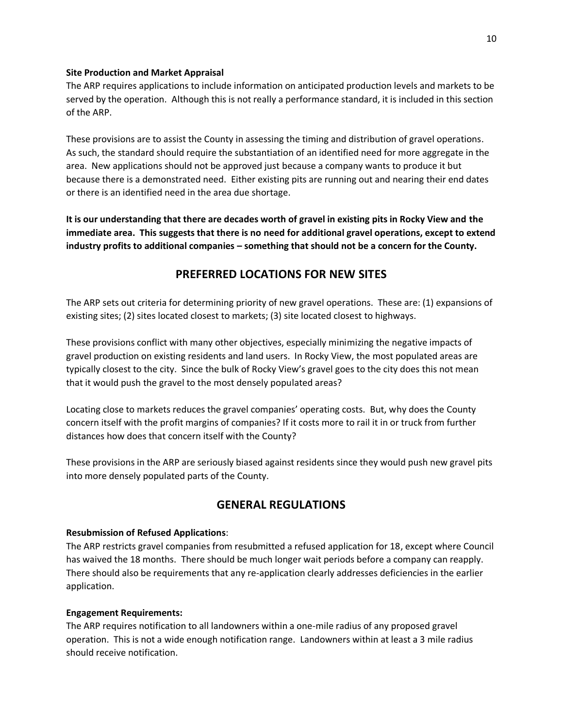#### **Site Production and Market Appraisal**

The ARP requires applications to include information on anticipated production levels and markets to be served by the operation. Although this is not really a performance standard, it is included in this section of the ARP.

These provisions are to assist the County in assessing the timing and distribution of gravel operations. As such, the standard should require the substantiation of an identified need for more aggregate in the area. New applications should not be approved just because a company wants to produce it but because there is a demonstrated need. Either existing pits are running out and nearing their end dates or there is an identified need in the area due shortage.

**It is our understanding that there are decades worth of gravel in existing pits in Rocky View and the immediate area. This suggests that there is no need for additional gravel operations, except to extend industry profits to additional companies – something that should not be a concern for the County.**

### **PREFERRED LOCATIONS FOR NEW SITES**

The ARP sets out criteria for determining priority of new gravel operations. These are: (1) expansions of existing sites; (2) sites located closest to markets; (3) site located closest to highways.

These provisions conflict with many other objectives, especially minimizing the negative impacts of gravel production on existing residents and land users. In Rocky View, the most populated areas are typically closest to the city. Since the bulk of Rocky View's gravel goes to the city does this not mean that it would push the gravel to the most densely populated areas?

Locating close to markets reduces the gravel companies' operating costs. But, why does the County concern itself with the profit margins of companies? If it costs more to rail it in or truck from further distances how does that concern itself with the County?

These provisions in the ARP are seriously biased against residents since they would push new gravel pits into more densely populated parts of the County.

### **GENERAL REGULATIONS**

#### **Resubmission of Refused Applications**:

The ARP restricts gravel companies from resubmitted a refused application for 18, except where Council has waived the 18 months. There should be much longer wait periods before a company can reapply. There should also be requirements that any re-application clearly addresses deficiencies in the earlier application.

#### **Engagement Requirements:**

The ARP requires notification to all landowners within a one-mile radius of any proposed gravel operation. This is not a wide enough notification range. Landowners within at least a 3 mile radius should receive notification.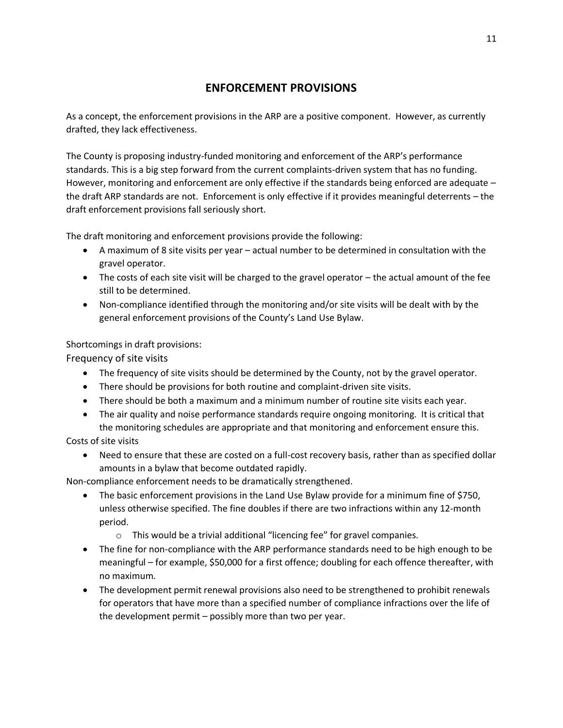# **ENFORCEMENT PROVISIONS**

As a concept, the enforcement provisions in the ARP are a positive component. However, as currently drafted, they lack effectiveness.

The County is proposing industry-funded monitoring and enforcement of the ARP's performance standards. This is a big step forward from the current complaints-driven system that has no funding. However, monitoring and enforcement are only effective if the standards being enforced are adequate – the draft ARP standards are not. Enforcement is only effective if it provides meaningful deterrents – the draft enforcement provisions fall seriously short.

The draft monitoring and enforcement provisions provide the following:

- A maximum of 8 site visits per year actual number to be determined in consultation with the gravel operator.
- The costs of each site visit will be charged to the gravel operator the actual amount of the fee still to be determined.
- Non-compliance identified through the monitoring and/or site visits will be dealt with by the general enforcement provisions of the County's Land Use Bylaw.

Shortcomings in draft provisions:

Frequency of site visits

- The frequency of site visits should be determined by the County, not by the gravel operator.
- There should be provisions for both routine and complaint-driven site visits.
- There should be both a maximum and a minimum number of routine site visits each year.
- The air quality and noise performance standards require ongoing monitoring. It is critical that the monitoring schedules are appropriate and that monitoring and enforcement ensure this.

Costs of site visits

• Need to ensure that these are costed on a full-cost recovery basis, rather than as specified dollar amounts in a bylaw that become outdated rapidly.

Non-compliance enforcement needs to be dramatically strengthened.

- The basic enforcement provisions in the Land Use Bylaw provide for a minimum fine of \$750, unless otherwise specified. The fine doubles if there are two infractions within any 12-month period.
	- o This would be a trivial additional "licencing fee" for gravel companies.
- The fine for non-compliance with the ARP performance standards need to be high enough to be meaningful – for example, \$50,000 for a first offence; doubling for each offence thereafter, with no maximum.
- The development permit renewal provisions also need to be strengthened to prohibit renewals for operators that have more than a specified number of compliance infractions over the life of the development permit – possibly more than two per year.